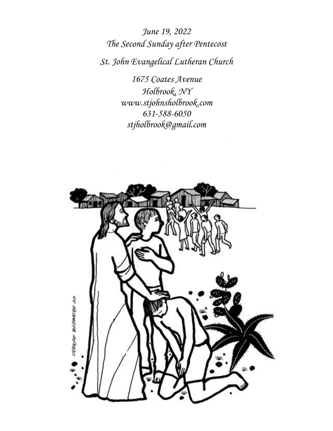*June 19, 2022 The Second Sunday after Pentecost St. John Evangelical Lutheran Church*

> *1675 Coates Avenue Holbrook, NY www.stjohnsholbrook.com 631-588-6050 stjholbrook@gmail.com*

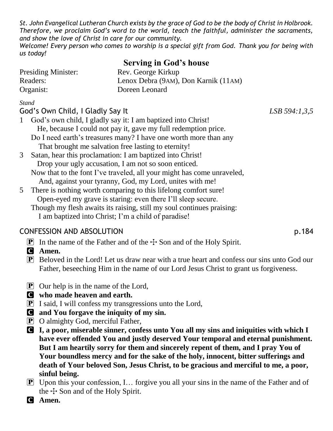*St. John Evangelical Lutheran Church exists by the grace of God to be the body of Christ in Holbrook. Therefore, we proclaim God's word to the world, teach the faithful, administer the sacraments, and show the love of Christ in care for our community.*

*Welcome! Every person who comes to worship is a special gift from God. Thank you for being with us today!*

## **Serving in God's house**

Organist: Doreen Leonard

Presiding Minister: Rev. George Kirkup Readers: Lenox Debra (9AM), Don Karnik (11AM)

#### *Stand*

## God's Own Child, I Gladly Say It **Channel Control Control Control Control Control Control Control Control Control Control Control Control Control Control Control Control Control Control Control Control Control Control Cont**

- 1 God's own child, I gladly say it: I am baptized into Christ! He, because I could not pay it, gave my full redemption price. Do I need earth's treasures many? I have one worth more than any That brought me salvation free lasting to eternity!
- 3 Satan, hear this proclamation: I am baptized into Christ! Drop your ugly accusation, I am not so soon enticed. Now that to the font I've traveled, all your might has come unraveled, And, against your tyranny, God, my Lord, unites with me!
- 5 There is nothing worth comparing to this lifelong comfort sure! Open-eyed my grave is staring: even there I'll sleep secure. Though my flesh awaits its raising, still my soul continues praising: I am baptized into Christ; I'm a child of paradise!

## CONFESSION AND ABSOLUTION **p.184**

- **P** In the name of the Father and of the  $\pm$  Son and of the Holy Spirit.
- C **Amen.**
- $\boxed{\mathbf{P}}$  Beloved in the Lord! Let us draw near with a true heart and confess our sins unto God our Father, beseeching Him in the name of our Lord Jesus Christ to grant us forgiveness.
- P Our help is in the name of the Lord,
- C **who made heaven and earth.**
- $\boxed{\mathbf{P}}$  I said, I will confess my transgressions unto the Lord,
- C **and You forgave the iniquity of my sin.**
- P O almighty God, merciful Father,
- C **I, a poor, miserable sinner, confess unto You all my sins and iniquities with which I have ever offended You and justly deserved Your temporal and eternal punishment. But I am heartily sorry for them and sincerely repent of them, and I pray You of Your boundless mercy and for the sake of the holy, innocent, bitter sufferings and death of Your beloved Son, Jesus Christ, to be gracious and merciful to me, a poor, sinful being.**
- P Upon this your confession, I… forgive you all your sins in the name of the Father and of the  $\pm$  Son and of the Holy Spirit.
- C **Amen.**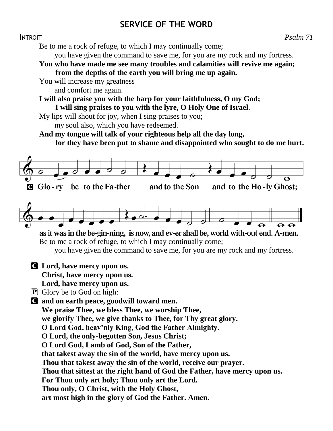# **SERVICE OF THE WORD**

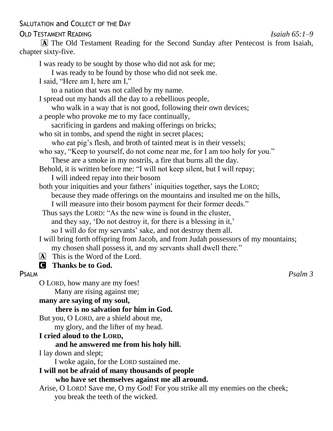### SALUTATION and COLLECT OF THE DAY

### OLD TESTAMENT READING *Isaiah 65:1–9*

 A The Old Testament Reading for the Second Sunday after Pentecost is from Isaiah, chapter sixty-five.

| I was ready to be sought by those who did not ask for me;                     |
|-------------------------------------------------------------------------------|
| I was ready to be found by those who did not seek me.                         |
| I said, "Here am I, here am I,"                                               |
| to a nation that was not called by my name.                                   |
| I spread out my hands all the day to a rebellious people,                     |
| who walk in a way that is not good, following their own devices;              |
| a people who provoke me to my face continually,                               |
| sacrificing in gardens and making offerings on bricks;                        |
| who sit in tombs, and spend the night in secret places;                       |
| who eat pig's flesh, and broth of tainted meat is in their vessels;           |
| who say, "Keep to yourself, do not come near me, for I am too holy f          |
| These are a smoke in my nostrils, a fire that burns all the day.              |
| Behold, it is written before me: "I will not keep silent, but I will reparate |
| I will indeed repay into their bosom                                          |
| both your iniquities and your fathers' iniquities together, says the Lo       |
| because they made offerings on the mountains and insulted me of               |

who say, "Keep to yourself, do not come near me, for I am too holy for you."

both your iniquities and your fathers' iniquities together, says the LORD;

n the hills,

I will measure into their bosom payment for their former deeds."

Thus says the LORD: "As the new wine is found in the cluster, and they say, 'Do not destroy it, for there is a blessing in it,' so I will do for my servants' sake, and not destroy them all.

I will bring forth offspring from Jacob, and from Judah possessors of my mountains; my chosen shall possess it, and my servants shall dwell there."

A This is the Word of the Lord.

# C **Thanks be to God.**

O LORD, how many are my foes!

Many are rising against me;

## **many are saying of my soul,**

## **there is no salvation for him in God.**

But you, O LORD, are a shield about me,

my glory, and the lifter of my head.

# **I cried aloud to the LORD,**

# **and he answered me from his holy hill.**

I lay down and slept;

I woke again, for the LORD sustained me.

#### **I will not be afraid of many thousands of people who have set themselves against me all around.**

Arise, O LORD! Save me, O my God! For you strike all my enemies on the cheek; you break the teeth of the wicked.

# PSALM *Psalm 3*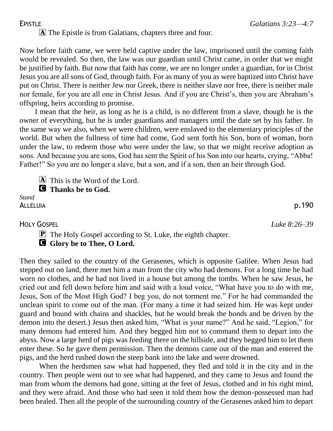A The Epistle is from Galatians, chapters three and four.

Now before faith came, we were held captive under the law, imprisoned until the coming faith would be revealed. So then, the law was our guardian until Christ came, in order that we might be justified by faith. But now that faith has come, we are no longer under a guardian, for in Christ Jesus you are all sons of God, through faith. For as many of you as were baptized into Christ have put on Christ. There is neither Jew nor Greek, there is neither slave nor free, there is neither male nor female, for you are all one in Christ Jesus. And if you are Christ's, then you are Abraham's offspring, heirs according to promise.

 I mean that the heir, as long as he is a child, is no different from a slave, though he is the owner of everything, but he is under guardians and managers until the date set by his father. In the same way we also, when we were children, were enslaved to the elementary principles of the world. But when the fullness of time had come, God sent forth his Son, born of woman, born under the law, to redeem those who were under the law, so that we might receive adoption as sons. And because you are sons, God has sent the Spirit of his Son into our hearts, crying, "Abba! Father!" So you are no longer a slave, but a son, and if a son, then an heir through God.

 $\bf{A}$  This is the Word of the Lord.

C **Thanks be to God.**

*Stand* ALLELUIA p.190

HOLY GOSPEL *Luke 8:26–39*

P The Holy Gospel according to St. Luke, the eighth chapter. C **Glory be to Thee, O Lord.**

Then they sailed to the country of the Gerasenes, which is opposite Galilee. When Jesus had stepped out on land, there met him a man from the city who had demons. For a long time he had worn no clothes, and he had not lived in a house but among the tombs. When he saw Jesus, he cried out and fell down before him and said with a loud voice, "What have you to do with me, Jesus, Son of the Most High God? I beg you, do not torment me." For he had commanded the unclean spirit to come out of the man. (For many a time it had seized him. He was kept under guard and bound with chains and shackles, but he would break the bonds and be driven by the demon into the desert.) Jesus then asked him, "What is your name?" And he said, "Legion," for many demons had entered him. And they begged him not to command them to depart into the abyss. Now a large herd of pigs was feeding there on the hillside, and they begged him to let them enter these. So he gave them permission. Then the demons came out of the man and entered the pigs, and the herd rushed down the steep bank into the lake and were drowned.

When the herdsmen saw what had happened, they fled and told it in the city and in the country. Then people went out to see what had happened, and they came to Jesus and found the man from whom the demons had gone, sitting at the feet of Jesus, clothed and in his right mind, and they were afraid. And those who had seen it told them how the demon-possessed man had been healed. Then all the people of the surrounding country of the Gerasenes asked him to depart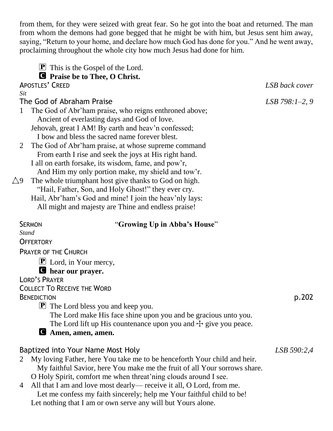from them, for they were seized with great fear. So he got into the boat and returned. The man from whom the demons had gone begged that he might be with him, but Jesus sent him away, saying, "Return to your home, and declare how much God has done for you." And he went away, proclaiming throughout the whole city how much Jesus had done for him.

| $\mathbf{P}$ This is the Gospel of the Lord.<br><b>Q</b> Praise be to Thee, O Christ.<br><b>APOSTLES' CREED</b>                                                                                                                                                                                    | LSB back cover   |
|----------------------------------------------------------------------------------------------------------------------------------------------------------------------------------------------------------------------------------------------------------------------------------------------------|------------------|
| Sit                                                                                                                                                                                                                                                                                                |                  |
| The God of Abraham Praise<br>The God of Abr'ham praise, who reigns enthroned above;<br>Ancient of everlasting days and God of love.<br>Jehovah, great I AM! By earth and heav'n confessed;<br>I bow and bless the sacred name forever blest.                                                       | LSB $798:1-2, 9$ |
| The God of Abr'ham praise, at whose supreme command<br>2<br>From earth I rise and seek the joys at His right hand.<br>I all on earth forsake, its wisdom, fame, and pow'r,                                                                                                                         |                  |
| And Him my only portion make, my shield and tow'r.<br>The whole triumphant host give thanks to God on high.<br>$\Delta 9$<br>"Hail, Father, Son, and Holy Ghost!" they ever cry.<br>Hail, Abr'ham's God and mine! I join the heav'nly lays:<br>All might and majesty are Thine and endless praise! |                  |
| <b>SERMON</b><br>"Growing Up in Abba's House"<br><b>Stand</b>                                                                                                                                                                                                                                      |                  |
| <b>OFFERTORY</b>                                                                                                                                                                                                                                                                                   |                  |
| <b>PRAYER OF THE CHURCH</b>                                                                                                                                                                                                                                                                        |                  |
| $\mathbf{P}$ Lord, in Your mercy,                                                                                                                                                                                                                                                                  |                  |
| <b>C</b> hear our prayer.                                                                                                                                                                                                                                                                          |                  |
| <b>LORD'S PRAYER</b>                                                                                                                                                                                                                                                                               |                  |
| <b>COLLECT TO RECEIVE THE WORD</b>                                                                                                                                                                                                                                                                 |                  |
| <b>BENEDICTION</b>                                                                                                                                                                                                                                                                                 | p.202            |
| $\mathbf{P}$ The Lord bless you and keep you.                                                                                                                                                                                                                                                      |                  |
| The Lord make His face shine upon you and be gracious unto you.                                                                                                                                                                                                                                    |                  |
| The Lord lift up His countenance upon you and $\pm$ give you peace.                                                                                                                                                                                                                                |                  |
| <b>C</b> Amen, amen, amen.                                                                                                                                                                                                                                                                         |                  |
| Baptized into Your Name Most Holy                                                                                                                                                                                                                                                                  | LSB 590:2,4      |
| My loving Father, here You take me to be henceforth Your child and heir.<br>My faithful Savior, here You make me the fruit of all Your sorrows share.<br>O Holy Spirit, comfort me when threat'ning clouds around I see.                                                                           |                  |
| All that I am and love most dearly— receive it all, O Lord, from me.<br>4<br>Let me confess my faith sincerely; help me Your faithful child to be!                                                                                                                                                 |                  |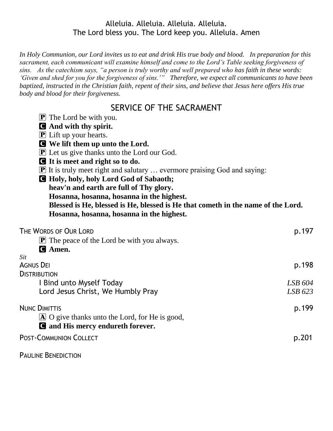### Alleluia. Alleluia. Alleluia. Alleluia. The Lord bless you. The Lord keep you. Alleluia. Amen

*In Holy Communion, our Lord invites us to eat and drink His true body and blood. In preparation for this sacrament, each communicant will examine himself and come to the Lord's Table seeking forgiveness of sins. As the catechism says, "a person is truly worthy and well prepared who has faith in these words: 'Given and shed for you for the forgiveness of sins.'" Therefore, we expect all communicants to have been baptized, instructed in the Christian faith, repent of their sins, and believe that Jesus here offers His true body and blood for their forgiveness.*

# SERVICE OF THE SACRAMENT

| $\mathbf{P}$ The Lord be with you.                                                  |         |
|-------------------------------------------------------------------------------------|---------|
| <b>And with thy spirit.</b>                                                         |         |
| $[\mathbf{P}]$ Lift up your hearts.                                                 |         |
| <b>O</b> We lift them up unto the Lord.                                             |         |
| <b>P</b> Let us give thanks unto the Lord our God.                                  |         |
| If is meet and right so to do.                                                      |         |
| $\mathbf{P}$ It is truly meet right and salutary  evermore praising God and saying: |         |
| Holy, holy, holy Lord God of Sabaoth;                                               |         |
| heav'n and earth are full of Thy glory.                                             |         |
| Hosanna, hosanna, hosanna in the highest.                                           |         |
| Blessed is He, blessed is He, blessed is He that cometh in the name of the Lord.    |         |
| Hosanna, hosanna, hosanna in the highest.                                           |         |
| THE WORDS OF OUR LORD                                                               | p.197   |
| $[\mathbf{P}]$ The peace of the Lord be with you always.                            |         |
| <b>G</b> Amen.                                                                      |         |
| Sit                                                                                 |         |
| <b>AGNUS DEI</b>                                                                    | p.198   |
| <b>DISTRIBUTION</b>                                                                 |         |
| I Bind unto Myself Today                                                            | LSB 604 |
| Lord Jesus Christ, We Humbly Pray                                                   | LSB 623 |
|                                                                                     |         |

| <b>NUNC DIMITTIS</b><br>$[A]$ O give thanks unto the Lord, for He is good,<br><b>Q</b> and His mercy endureth forever. | p.199 |                        |       |
|------------------------------------------------------------------------------------------------------------------------|-------|------------------------|-------|
|                                                                                                                        |       | POST-COMMUNION COLLECT | p.201 |

PAULINE BENEDICTION